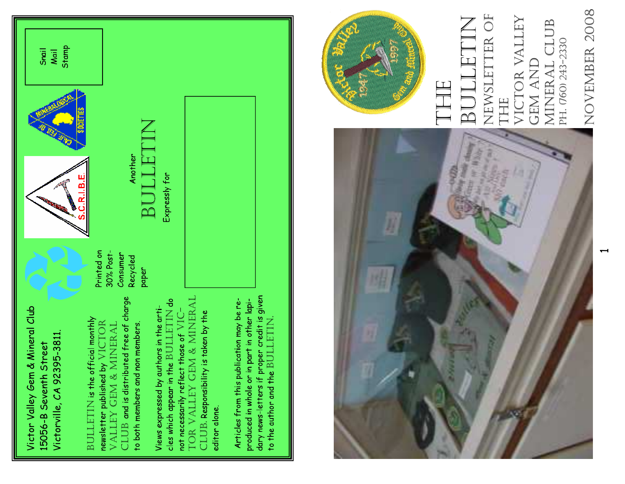

g ၟ ទ ξ  $\epsilon$  $\frac{1}{\sqrt{2}}$ VICTOR VALLEY GEM & MINERAL ں<br>ـ VALLEY GEM & MINERAL í 졷 ς<br>Σ ৳ 5 ŧ ೦<br>೧ စိ ficial mon ၿ 웉 ڡٟ ε 는 eء ᡃᠼ ≊<br>¤ ್ಠಾ Ľ۵ ຮ ⇇ ҍ g  $\geq$ 눙  $\Xi$ ם<br>ה 유 ೦<br>ನ 읖 곁 ್ತಾ ≌ ٢<br>۳ န ξ 千 ৯ ច<br>ហ <u>준</u> ä۶  $\frac{+}{5}$ si¦c š BULLETIN 5 을  $\frac{8}{1}$ ی<br>د ם<br>ב 읕 ε 겉  $\epsilon$ eء 5 ۳ CLUB ≊<br>⊃ slett 좋 ㅎ oq ot ुँ new

a.<br>A ု့ ခွ ŧ ٣e

 $\approx$ م<br>-ပ္လ ঢ় Ļ

% န <u>ღ</u> รี ε e٣ ಕ

జ ပ္စ ᢌ  $\stackrel{\mathsf{c}}{\ge}$ <u>ನ</u>

a<br>B ရွိ 5

 $\frac{0}{D}$ ຮ

> TOR VALLEY GEM & MINERAL TOR VALLEY GEM & MINERAL ္ပ BULLETIN ≑ VIC- ≅ t 능 £ ರ t Áq t ≅ ᆍ t ui s ځ<br>م <u>چ</u> ⊻ မ္တ 농 ღ ပ္ပ Ę 5 g t si y  $\frac{1}{5}$ ᆍ 졷  $^\pm$ ≅ ҍ 千 ৳ ₹ ≧ flec d by a t ni 1 言 لہ م<br>ة ع ā <u>ღ</u> ್ನಾ នូ ے<br>> <u>ទ</u> ဗို့ စ္ခ È ႙ უ<br>რ 윤 ၕၟ ပ္ၿ ၕ à i ္လ ع a<br>C ξ នូ ž ă န ທູ ع:<br>آ CLUB. ş, 윾 ္လ ४<br>१ ပ္ပ ں<br>ح 듷 ၿ ĝ٩ 능 ຣ<br>ທ ⊻ू =<br>+ °⊒ View<br>also cles हुं ㅎ <u>ջ</u>

 $\tilde{\mathbf{r}}$ t ≔  $t$ les f 듭 S ε t 千 d sit  $\frac{1}{2}$ 을  $\frac{1}{2}$ g ৳ ri<br>آ ≊<br>ء š ę م<br>< ိ ے<br>ن ς, b ءَ ς ာ့ ᇹ  $\mathbf{S}$ ပ္မ ್ಸಾ ءِ<br><del>ہ</del> ≤<br>ב 듷 g o alc 능 d ui J g á ŧ o qi † ㅎ 좋 ĝ٩ 5  $\frac{9}{5}$  $\frac{1}{\Omega}$ 몽 능 ≧ ء<br>gσ ≩ ुँ 'n  $-<sup>1</sup>e<sub>1</sub>$ ۳ 5 ې<br>پ a if<br>s ä ς မှ ഉ 5 ں<br>۔ 5 یم ್ಧಾ ≒ a<br>∔ თ<br>ო  $\frac{>}{\overline{\Omega}}$ ु ธิ  $_{\rm 0}^{+}$  $\ddot{=}$ ĝ٩ ರ<br>ನ ₹ ŧ 手 g 5 ں<br>ح ទ<br>ច 곁  $\frac{+}{n}$  $\ddot{=}$ ĝ٩ BULLETIN.







ა g ਸ਼ डू ਸ਼ 5 Ę ε ဠ í

> BULLETIN BULLE 5 ≅ 좋 <del>اه</del> g इ

Ğ ş, ä ع ु ù  $\frac{1}{5}$  $\frac{+}{\sqrt{2}}$ ူ 능



BULLETIN NEWSLETTER OF VICTOR VALLEY NEWSLETTER OF MINERAL CLUB VICTOR VALLEY MINERAL CLUB BULLETIN PH. (760) 243-2330 PH. (760) 243-2330 GEM AND GEM AND THE THE

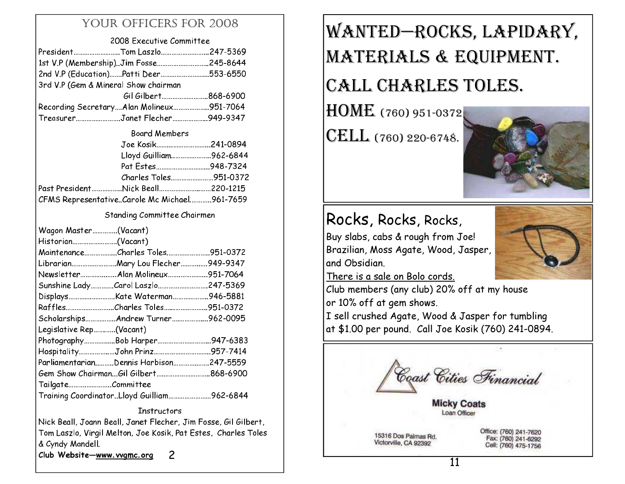#### YOUR OFFICERS FOR 2008

#### 2008 Executive Committee

| PresidentTom Laszlo247-5369              |  |
|------------------------------------------|--|
| 1st V.P (Membership)Jim Fosse245-8644    |  |
| 2nd V.P (Education)Patti Deer553-6550    |  |
| 3rd V.P (Gem & Mineral Show chairman     |  |
| Gil Gilbert868-6900                      |  |
| Recording SecretaryAlan Molineux951-7064 |  |
| TreasurerJanet Flecher949-9347           |  |

#### Board Members

| Joe Kosik241-0894                               |  |  |
|-------------------------------------------------|--|--|
| Lloyd Guilliam962-6844                          |  |  |
| Pat Estes948-7324                               |  |  |
| Charles Toles951-0372                           |  |  |
| Past President…………….Nick Beall………………………220-1215 |  |  |
| CFMS RepresentativeCarole Mc Michael961-7659    |  |  |

p

#### Standing Committee Chairmen

| Wagon Master(Vacant)         |                                            |  |
|------------------------------|--------------------------------------------|--|
| Historian(Vacant)            |                                            |  |
|                              | MaintenanceCharles Toles951-0372           |  |
|                              | LibrarianMary Lou Flecher949-9347          |  |
|                              |                                            |  |
|                              | Sunshine LadyCarol Laszlo247-5369          |  |
|                              |                                            |  |
| RafflesCharles Toles951-0372 |                                            |  |
|                              | Scholarships Andrew Turner962-0095         |  |
| Legislative Rep(Vacant)      |                                            |  |
|                              | PhotographyBob Harper947-6383              |  |
|                              | HospitalityJohn Prinz957-7414              |  |
|                              | ParliamentarianDennis Harbison247-5559     |  |
|                              |                                            |  |
| TailgateCommittee            |                                            |  |
|                              | Training CoordinatorLloyd Guilliam962-6844 |  |
|                              | Instructors                                |  |

Nick Beall, Joann Beall, Janet Flecher, Jim Fosse, Gil Gilbert, Tom Laszlo, Virgil Melton, Joe Kosik, Pat Estes, Charles Toles & Cyndy Mandell.

Club Website—<u>www.vvgmc.org</u> 2

## WANTED—ROCKS, LAPIDARY, MATERIALS & EQUIPMENT.

## CALL CHARLES TOLES.

 $\rm{HOME}$  (760) 951-0372 $\mid$ 

CELL (760) 220-6748.



## Rocks, Rocks, Rocks,

Buy slabs, cabs & rough from Joe! Brazilian, Moss Agate, Wood, Jasper, and Obsidian.



There is a sale on Bolo cords.

Club members (any club) 20% off at my house or 10% off at gem shows.

 I sell crushed Agate, Wood & Jasper for tumbling at \$1.00 per pound. Call Joe Kosik (760) 241-0894.

Coast Cities Financial

**Micky Coats** pan Office

15316 Dos Palmas Rd. Victorville, CA 92392

Office: (760) 241-7620 Fax: (760) 241-6292 Cell: (760) 475-1756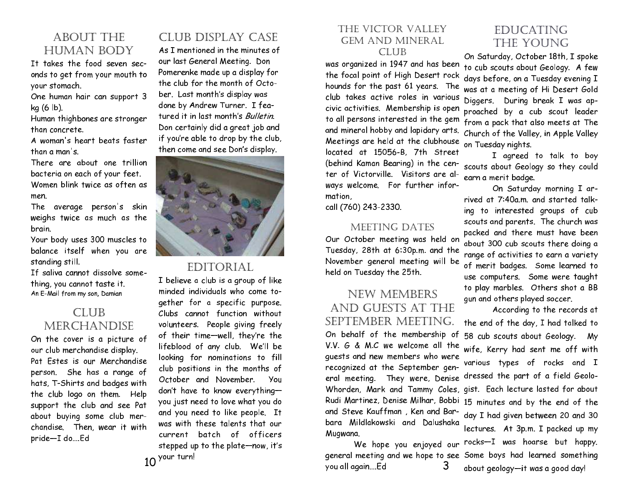#### ABOUT THE HUMAN BODY

It takes the food seven seconds to get from your mouth to your stomach.

One human hair can support 3 kg (6 lb).

Human thighbones are stronger than concrete.

A woman's heart beats faster than a man's.

There are about one trillion bacteria on each of your feet. Women blink twice as often as men.

The average person's skin weighs twice as much as the brain.

Your body uses 300 muscles to balance itself when you are standing still.

If saliva cannot dissolve something, you cannot taste it. An E-Mail from my son, Damian

#### CLUB MERCHANDISE

On the cover is a picture of our club merchandise display. Pat Estes is our Merchandise person. She has a range of hats, T-Shirts and badges with the club logo on them. Help support the club and see Pat about buying some club merchandise. Then, wear it with pride-I do....Ed

#### CLUB DISPLAY CASE

As I mentioned in the minutes of our last General Meeting. Don Pomerenke made up a display for the club for the month of October. Last month's display was done by Andrew Turner. I featured it in last month's *Bulletin*. Don certainly did a great job and if you're able to drop by the club, then come and see Don's display.



#### EDITORIAL

 $10$  <sup>your turn!</sup> I believe a club is a group of like minded individuals who come together for a specific purpose. Clubs cannot function without volunteers. People giving freely of their time-well, they're the lifeblood of any club. We'll be looking for nominations to fill club positions in the months of October and November. You don't have to know everything you just need to love what you do and you need to like people. It was with these talents that our current batch of officers stepped up to the plate—now, it's

#### THE VICTOR VALLEY GEM AND MINERAL CLUB

was organized in 1947 and has been the focal point of High Desert rock hounds for the past 61 years. The club takes active roles in various civic activities. Membership is open to all persons interested in the gem and mineral hobby and lapidary arts. Meetings are held at the clubhouse located at 15056-B, 7th Street (behind Kaman Bearing) in the center of Victorville. Visitors are always welcome. For further information, compared to the monopolity of the matrice of the set of the set of the set of the set of the set of th THE VICTOR VALLEY **EDUCATING**<br>
CEM AND MINERAL **EDUCATING**<br>
CEM AND MINERAL CLUB THE YOUNG<br>
was organized in 1947 and has been to cub scouts about Geology.<br>
we so again of High Desert rock days before, on a Tuesday even<br>
w

call (760) 243-2330.

#### MEETING DATES

Our October meeting was held on Tuesday, 28th at 6:30p.m. and the November general meeting will be held on Tuesday the 25th.

#### NEW MEMBERS AND GUESTS AT THE SEPTEMBER MEETING. On behalf of the membership of V.V.  $G$  & M.C we welcome all the guests and new members who were recognized at the September general meeting. They were, Denise and Steve Kauffman , Ken and Barbara Mildlakowski and Dalushaka Mugwana.

3 you all again....Ed

Church of the Valley, in Apple Valley urday, October 18th, I spoke to cub scouts about Geology. A few days before, on a Tuesday evening I was at a meeting of Hi Desert Gold Diggers. During break I was approached by a cub scout leader from a pack that also meets at The on Tuesday nights.

I agreed to talk to boy scouts about Geology so they could earn a merit badge.

On Saturday morning I arrived at 7:40a.m. and started talking to interested groups of cub scouts and parents. The church was packed and there must have been about 300 cub scouts there doing a range of activities to earn a variety of merit badges. Some learned to use computers. Some were taught to play marbles. Others shot a BB gun and others played soccer.

Whorden, Mark and Tammy Coles, gist. Each lecture lasted for about Rudi Martinez, Denise Milhar, Bobbi 15 minutes and by the end of the We hope you enjoyed our <code>rocks—I</code> was hoarse but happy. general meeting and we hope to see Some boys had learned something According to the records at the end of the day, I had talked to 58 cub scouts about Geology. My wife, Kerry had sent me off with various types of rocks and I dressed the part of a field Geoloday I had given between 20 and 30 lectures. At 3p.m. I packed up my about geology—it was a good day!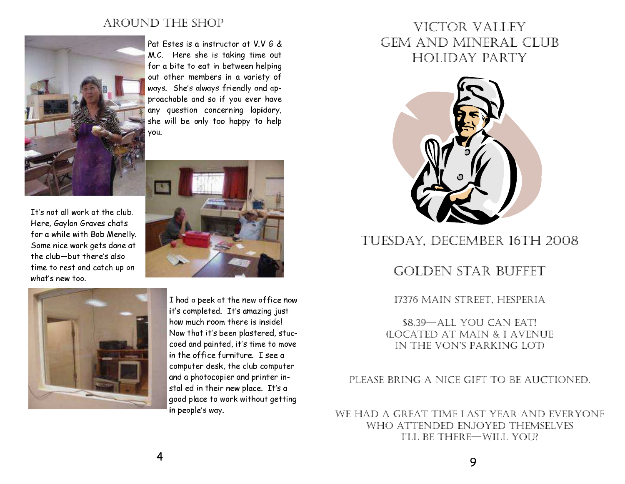#### AROUND THE SHOP



It's not all work at the club. Here, Gaylan Graves chats for a while with Bob Menelly. Some nice work gets done at the club—but there's also time to rest and catch up on what's new too.

Pat Estes is a instructor at V.V G & M.C. Here she is taking time out for a bite to eat in between helping out other members in a variety o<mark>f</mark> ways. She's always friendly and approachable and so if you ever have any question concerning lapidary, she will be only too happy to help vou.





I had a peek at the new office now it's completed. It's amazing just how much room there is inside! Now that it's been plastered, stuccoed and painted, it's time to move in the office furniture. I see a  $\,$ computer desk, the club computer and a photocopier and printer installed in their new place. It's a good place to work without getting in people's way.

### VICTOR VALLEY GEM AND MINERAL CLUB HOLIDAY PARTY



### TUESDAY, DECEMBER 16TH 2008

#### GOLDEN STAR BUFFET

#### 17376 MAIN STREET, HESPERIA

\$8.39—ALL YOU CAN EAT! (LOCATED AT MAIN & I AVENUE IN THE VON'S PARKING LOT)

#### PLEASE BRING A NICE GIFT TO BE AUCTIONED.

WE HAD A GREAT TIME LAST YEAR AND EVERYONE WHO ATTENDED ENJOYED THEMSELVES I'LL BE THERE—WILL YOU?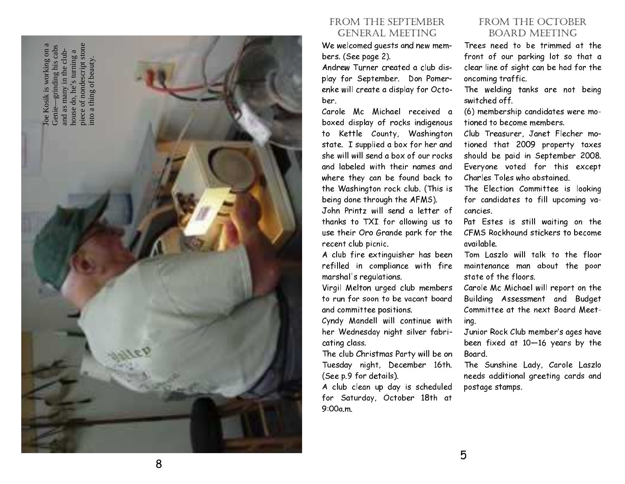

#### FROM THE SEPTEMBER GENERAL MEETING

We welcomed guests and new members. (See page 2).

Andrew Turner created a club display for September. Don Pomerenke will create a display for October.

Carole Mc Michael received a boxed display of rocks indigenous to Kettle County, Washington state. I supplied a box for her and she will will send a box of our rocks and labeled with their names and where they can be found back to the Washington rock club. (This is being done through the AFMS).

John Printz will send a letter of thanks to TXI for allowing us to use their Oro Grande park for the recent club picnic.

A club fire extinguisher has been refilled in compliance with fire marshal's regulations.

Virgil Melton urged club members to run for soon to be vacant board and committee positions.

Cyndy Mandell will continue with her Wednesday night silver fabricating class.

The club Christmas Party will be on Tuesday night, December 16th. (See p.9 for details).

A club clean up day is scheduled for Saturday, October 18th at 9:00a.m.

#### FROM THE OCTOBER BOARD MEETING

Trees need to be trimmed at the front of our parking lot so that a clear line of sight can be had for the oncoming traffic.

The welding tanks are not being switched off.

(6) membership candidates were motioned to become members.

Club Treasurer, Janet Flecher motioned that 2009 property taxes should be paid in September 2008. Everyone voted for this except Charles Toles who abstained.

The Election Committee is looking for candidates to fill upcoming vacancies

Pat Estes is still waiting on the CFMS Rockhound stickers to become available.

Tom Laszlo will talk to the floor maintenance man about the poor state of the floors.

Carole Mc Michael will report on the Building Assessment and Budget Committee at the next Board Meeting.

Junior Rock Club member's ages have been fixed at 10—16 years by the Board

The Sunshine Lady, Carole Laszlo needs additional greeting cards and postage stamps.

8